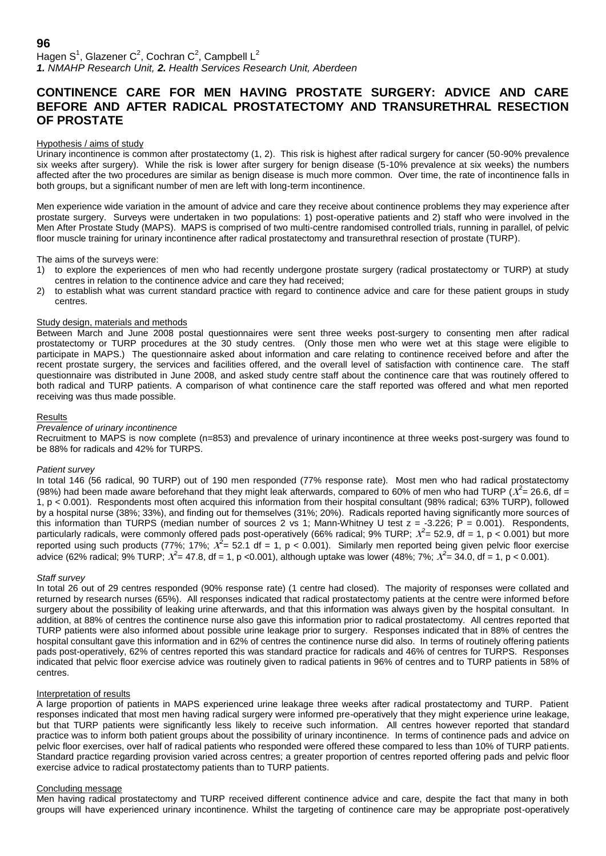Hagen S<sup>1</sup>, Glazener C<sup>2</sup>, Cochran C<sup>2</sup>, Campbell L<sup>2</sup> *1. NMAHP Research Unit, 2. Health Services Research Unit, Aberdeen*

# **CONTINENCE CARE FOR MEN HAVING PROSTATE SURGERY: ADVICE AND CARE BEFORE AND AFTER RADICAL PROSTATECTOMY AND TRANSURETHRAL RESECTION OF PROSTATE**

# Hypothesis / aims of study

Urinary incontinence is common after prostatectomy (1, 2). This risk is highest after radical surgery for cancer (50-90% prevalence six weeks after surgery). While the risk is lower after surgery for benign disease (5-10% prevalence at six weeks) the numbers affected after the two procedures are similar as benign disease is much more common. Over time, the rate of incontinence falls in both groups, but a significant number of men are left with long-term incontinence.

Men experience wide variation in the amount of advice and care they receive about continence problems they may experience after prostate surgery. Surveys were undertaken in two populations: 1) post-operative patients and 2) staff who were involved in the Men After Prostate Study (MAPS). MAPS is comprised of two multi-centre randomised controlled trials, running in parallel, of pelvic floor muscle training for urinary incontinence after radical prostatectomy and transurethral resection of prostate (TURP).

The aims of the surveys were:

- 1) to explore the experiences of men who had recently undergone prostate surgery (radical prostatectomy or TURP) at study centres in relation to the continence advice and care they had received;
- 2) to establish what was current standard practice with regard to continence advice and care for these patient groups in study centres.

# Study design, materials and methods

Between March and June 2008 postal questionnaires were sent three weeks post-surgery to consenting men after radical prostatectomy or TURP procedures at the 30 study centres. (Only those men who were wet at this stage were eligible to participate in MAPS.) The questionnaire asked about information and care relating to continence received before and after the recent prostate surgery, the services and facilities offered, and the overall level of satisfaction with continence care. The staff questionnaire was distributed in June 2008, and asked study centre staff about the continence care that was routinely offered to both radical and TURP patients. A comparison of what continence care the staff reported was offered and what men reported receiving was thus made possible.

## **Results**

# *Prevalence of urinary incontinence*

Recruitment to MAPS is now complete (n=853) and prevalence of urinary incontinence at three weeks post-surgery was found to be 88% for radicals and 42% for TURPS.

#### *Patient survey*

In total 146 (56 radical, 90 TURP) out of 190 men responded (77% response rate). Most men who had radical prostatectomy (98%) had been made aware beforehand that they might leak afterwards, compared to 60% of men who had TURP ( $X^2$  = 26.6, df = 1, p < 0.001). Respondents most often acquired this information from their hospital consultant (98% radical; 63% TURP), followed by a hospital nurse (38%; 33%), and finding out for themselves (31%; 20%). Radicals reported having significantly more sources of this information than TURPS (median number of sources 2 vs 1; Mann-Whitney U test  $z = -3.226$ ;  $\overline{P} = 0.001$ ). Respondents, particularly radicals, were commonly offered pads post-operatively (66% radical; 9% TURP;  $X^2$ = 52.9, df = 1, p < 0.001) but more reported using such products (77%; 17%;  $\chi^2$ = 52.1 df = 1, p < 0.001). Similarly men reported being given pelvic floor exercise advice (62% radical; 9% TURP;  $X^2$ = 47.8, df = 1, p <0.001), although uptake was lower (48%; 7%;  $X^2$ = 34.0, df = 1, p < 0.001).

#### *Staff survey*

In total 26 out of 29 centres responded (90% response rate) (1 centre had closed). The majority of responses were collated and returned by research nurses (65%). All responses indicated that radical prostatectomy patients at the centre were informed before surgery about the possibility of leaking urine afterwards, and that this information was always given by the hospital consultant. In addition, at 88% of centres the continence nurse also gave this information prior to radical prostatectomy. All centres reported that TURP patients were also informed about possible urine leakage prior to surgery. Responses indicated that in 88% of centres the hospital consultant gave this information and in 62% of centres the continence nurse did also. In terms of routinely offering patients pads post-operatively, 62% of centres reported this was standard practice for radicals and 46% of centres for TURPS. Responses indicated that pelvic floor exercise advice was routinely given to radical patients in 96% of centres and to TURP patients in 58% of centres.

## Interpretation of results

A large proportion of patients in MAPS experienced urine leakage three weeks after radical prostatectomy and TURP. Patient responses indicated that most men having radical surgery were informed pre-operatively that they might experience urine leakage, but that TURP patients were significantly less likely to receive such information. All centres however reported that standard practice was to inform both patient groups about the possibility of urinary incontinence. In terms of continence pads and advice on pelvic floor exercises, over half of radical patients who responded were offered these compared to less than 10% of TURP patients. Standard practice regarding provision varied across centres; a greater proportion of centres reported offering pads and pelvic floor exercise advice to radical prostatectomy patients than to TURP patients.

#### Concluding message

Men having radical prostatectomy and TURP received different continence advice and care, despite the fact that many in both groups will have experienced urinary incontinence. Whilst the targeting of continence care may be appropriate post-operatively